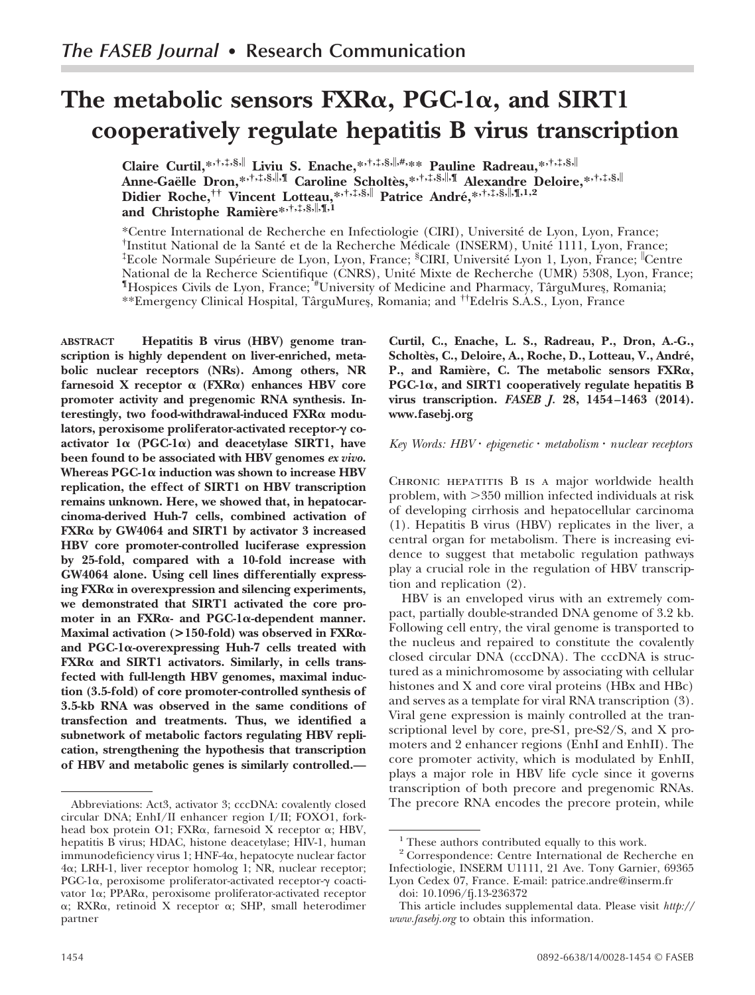# **The metabolic sensors FXR, PGC-1, and SIRT1 cooperatively regulate hepatitis B virus transcription**

**Claire Curtil,\*,†,‡,§, Liviu S. Enache,\*,†,‡,§,,#,\*\* Pauline Radreau,\*,†,‡,§, Anne-Gaëlle Dron,\*,†,‡,§,,¶ Caroline Scholtès,\*,†,‡,§,,¶ Alexandre Deloire,\*,†,‡,§, Didier Roche,†† Vincent Lotteau,\*,†,‡,§, Patrice André,\*,†,‡,§,,¶,1,2 and Christophe Ramière\*,†,‡,§,,¶,1**

\*Centre International de Recherche en Infectiologie (CIRI), Université de Lyon, Lyon, France; † Institut National de la Santé et de la Recherche Médicale (INSERM), Unité 1111, Lyon, France; ‡ Ecole Normale Supérieure de Lyon, Lyon, France; § CIRI, Université Lyon 1, Lyon, France; Centre National de la Recherce Scientifique (CNRS), Unité Mixte de Recherche (UMR) 5308, Lyon, France; ¶ Hospices Civils de Lyon, France; # University of Medicine and Pharmacy, TârguMures¸, Romania; \*\*Emergency Clinical Hospital, TârguMures¸, Romania; and ††Edelris S.A.S., Lyon, France

**ABSTRACT Hepatitis B virus (HBV) genome transcription is highly dependent on liver-enriched, metabolic nuclear receptors (NRs). Among others, NR** farnesoid  $X$  receptor  $\alpha$  ( $FXR\alpha$ ) enhances HBV core **promoter activity and pregenomic RNA synthesis. Interestingly, two food-withdrawal-induced FXR modu**lators, peroxisome proliferator-activated receptor-γ coactivator  $1\alpha$  (PGC-1 $\alpha$ ) and deacetylase SIRT1, have **been found to be associated with HBV genomes** *ex vivo***. Whereas PGC-1 induction was shown to increase HBV replication, the effect of SIRT1 on HBV transcription remains unknown. Here, we showed that, in hepatocarcinoma-derived Huh-7 cells, combined activation of FXR by GW4064 and SIRT1 by activator 3 increased HBV core promoter-controlled luciferase expression by 25-fold, compared with a 10-fold increase with GW4064 alone. Using cell lines differentially expressing FXR in overexpression and silencing experiments, we demonstrated that SIRT1 activated the core promoter in an FXR- and PGC-1-dependent manner. Maximal activation (>150-fold) was observed in FXR** and  $PGC-1\alpha$ -overexpressing Huh-7 cells treated with **FXR and SIRT1 activators. Similarly, in cells transfected with full-length HBV genomes, maximal induction (3.5-fold) of core promoter-controlled synthesis of 3.5-kb RNA was observed in the same conditions of transfection and treatments. Thus, we identified a subnetwork of metabolic factors regulating HBV replication, strengthening the hypothesis that transcription of HBV and metabolic genes is similarly controlled.—**

**Curtil, C., Enache, L. S., Radreau, P., Dron, A.-G., Scholtès, C., Deloire, A., Roche, D., Lotteau, V., André, P., and Ramière, C. The metabolic sensors FXR, PGC-1, and SIRT1 cooperatively regulate hepatitis B virus transcription.** *FASEB J.* **28, 1454–1463 (2014). <www.fasebj.org>**

#### *Key Words: HBV epigenetic metabolism nuclear receptors*

CHRONIC HEPATITIS B IS A major worldwide health problem, with 350 million infected individuals at risk of developing cirrhosis and hepatocellular carcinoma (1). Hepatitis B virus (HBV) replicates in the liver, a central organ for metabolism. There is increasing evidence to suggest that metabolic regulation pathways play a crucial role in the regulation of HBV transcription and replication (2).

HBV is an enveloped virus with an extremely compact, partially double-stranded DNA genome of 3.2 kb. Following cell entry, the viral genome is transported to the nucleus and repaired to constitute the covalently closed circular DNA (cccDNA). The cccDNA is structured as a minichromosome by associating with cellular histones and X and core viral proteins (HBx and HBc) and serves as a template for viral RNA transcription (3). Viral gene expression is mainly controlled at the transcriptional level by core, pre-S1, pre-S2/S, and X promoters and 2 enhancer regions (EnhI and EnhII). The core promoter activity, which is modulated by EnhII, plays a major role in HBV life cycle since it governs transcription of both precore and pregenomic RNAs. The precore RNA encodes the precore protein, while

Abbreviations: Act3, activator 3; cccDNA: covalently closed circular DNA; EnhI/II enhancer region I/II; FOXO1, forkhead box protein O1; FXRa, farnesoid X receptor a; HBV, hepatitis B virus; HDAC, histone deacetylase; HIV-1, human  $\limmunodeficiency$  virus  $1$ ;  $HNF\text{-}4\alpha$ , hepatocyte nuclear factor 4α; LRH-1, liver receptor homolog 1; NR, nuclear receptor; PGC-1a, peroxisome proliferator-activated receptor-y coactivator 1a; PPARa, peroxisome proliferator-activated receptor α; RXRα, retinoid X receptor α; SHP, small heterodimer partner

<sup>&</sup>lt;sup>1</sup> These authors contributed equally to this work.

<sup>2</sup> Correspondence: Centre International de Recherche en Infectiologie, INSERM U1111, 21 Ave. Tony Garnier, 69365 Lyon Cedex 07, France. E-mail: [patrice.andre@inserm.fr](mailto%3Apatrice.andre@inserm.fr)

doi: 10.1096/fj.13-236372

This article includes supplemental data. Please visit *[http://](http://www.fasebj.org) [www.fasebj.org](http://www.fasebj.org)* to obtain this information.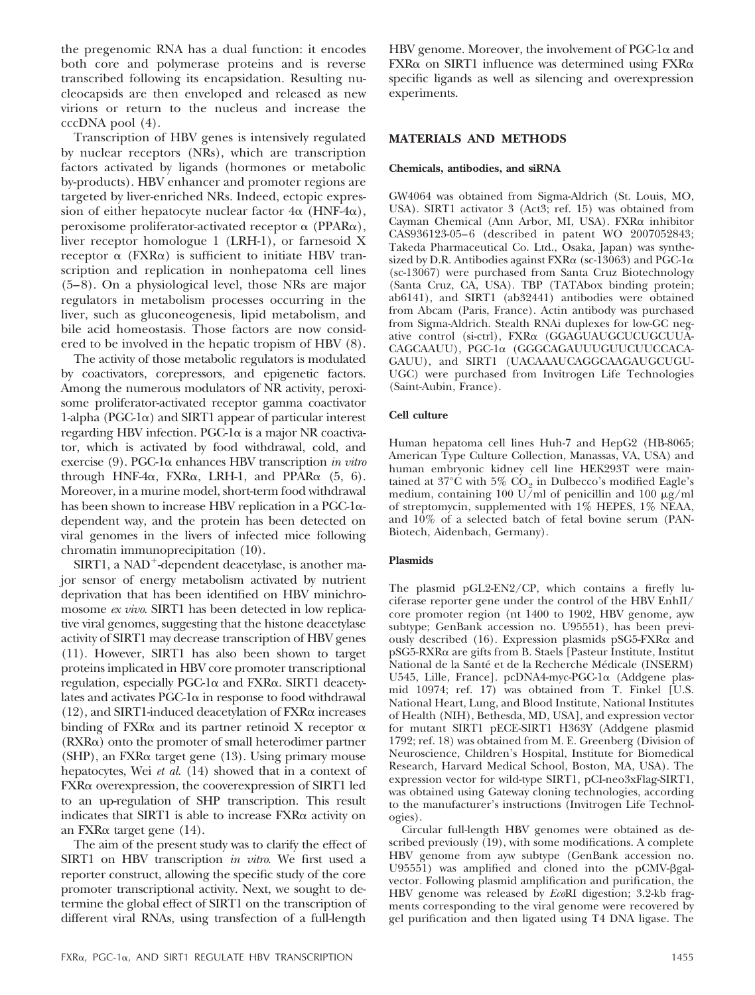the pregenomic RNA has a dual function: it encodes both core and polymerase proteins and is reverse transcribed following its encapsidation. Resulting nucleocapsids are then enveloped and released as new virions or return to the nucleus and increase the cccDNA pool (4).

Transcription of HBV genes is intensively regulated by nuclear receptors (NRs), which are transcription factors activated by ligands (hormones or metabolic by-products). HBV enhancer and promoter regions are targeted by liver-enriched NRs. Indeed, ectopic expression of either hepatocyte nuclear factor  $4\alpha$  (HNF- $4\alpha$ ), peroxisome proliferator-activated receptor  $\alpha$  (PPAR $\alpha$ ), liver receptor homologue 1 (LRH-1), or farnesoid X receptor  $\alpha$  (FXR $\alpha$ ) is sufficient to initiate HBV transcription and replication in nonhepatoma cell lines (5–8). On a physiological level, those NRs are major regulators in metabolism processes occurring in the liver, such as gluconeogenesis, lipid metabolism, and bile acid homeostasis. Those factors are now considered to be involved in the hepatic tropism of HBV (8).

The activity of those metabolic regulators is modulated by coactivators, corepressors, and epigenetic factors. Among the numerous modulators of NR activity, peroxisome proliferator-activated receptor gamma coactivator 1-alpha (PGC-1 $\alpha$ ) and SIRT1 appear of particular interest regarding HBV infection. PGC-1 $\alpha$  is a major NR coactivator, which is activated by food withdrawal, cold, and exercise (9). PGC-1α enhances HBV transcription *in vitro* through HNF-4 $\alpha$ , FXR $\alpha$ , LRH-1, and PPAR $\alpha$  (5, 6). Moreover, in a murine model, short-term food withdrawal has been shown to increase HBV replication in a PGC-1 $\alpha$ dependent way, and the protein has been detected on viral genomes in the livers of infected mice following chromatin immunoprecipitation (10).

 $SIRT1$ , a NAD<sup>+</sup>-dependent deacetylase, is another major sensor of energy metabolism activated by nutrient deprivation that has been identified on HBV minichromosome *ex vivo*. SIRT1 has been detected in low replicative viral genomes, suggesting that the histone deacetylase activity of SIRT1 may decrease transcription of HBV genes (11). However, SIRT1 has also been shown to target proteins implicated in HBV core promoter transcriptional regulation, especially PGC-1 $\alpha$  and FXR $\alpha$ . SIRT1 deacetylates and activates  $PGC-1\alpha$  in response to food withdrawal  $(12)$ , and SIRT1-induced deacetylation of FXR $\alpha$  increases binding of FXR $\alpha$  and its partner retinoid X receptor  $\alpha$ (RXR $\alpha$ ) onto the promoter of small heterodimer partner  $(SHP)$ , an FXR $\alpha$  target gene (13). Using primary mouse hepatocytes, Wei *et al.* (14) showed that in a context of FXRa overexpression, the cooverexpression of SIRT1 led to an up-regulation of SHP transcription. This result indicates that SIRT1 is able to increase  $FXR\alpha$  activity on an  $FXR\alpha$  target gene (14).

The aim of the present study was to clarify the effect of SIRT1 on HBV transcription *in vitro*. We first used a reporter construct, allowing the specific study of the core promoter transcriptional activity. Next, we sought to determine the global effect of SIRT1 on the transcription of different viral RNAs, using transfection of a full-length

HBV genome. Moreover, the involvement of PGC-1 $\alpha$  and  $FXR\alpha$  on SIRT1 influence was determined using  $FXR\alpha$ specific ligands as well as silencing and overexpression experiments.

## **MATERIALS AND METHODS**

#### **Chemicals, antibodies, and siRNA**

GW4064 was obtained from Sigma-Aldrich (St. Louis, MO, USA). SIRT1 activator 3 (Act3; ref. 15) was obtained from Cayman Chemical (Ann Arbor, MI, USA). FXRa inhibitor CAS936123-05–6 (described in patent WO 2007052843; Takeda Pharmaceutical Co. Ltd., Osaka, Japan) was synthesized by D.R. Antibodies against  $FXR\alpha$  (sc-13063) and PGC-1 $\alpha$ (sc-13067) were purchased from Santa Cruz Biotechnology (Santa Cruz, CA, USA). TBP (TATAbox binding protein; ab6141), and SIRT1 (ab32441) antibodies were obtained from Abcam (Paris, France). Actin antibody was purchased from Sigma-Aldrich. Stealth RNAi duplexes for low-GC negative control (si-ctrl), FXRa (GGAGUAUGCUCUGCUUA-CAGCAAUU), PGC-1a (GGGCAGAUUUGUUCUUCCACA-GAUU), and SIRT1 (UACAAAUCAGGCAAGAUGCUGU-UGC) were purchased from Invitrogen Life Technologies (Saint-Aubin, France).

#### **Cell culture**

Human hepatoma cell lines Huh-7 and HepG2 (HB-8065; American Type Culture Collection, Manassas, VA, USA) and human embryonic kidney cell line HEK293T were maintained at 37°C with 5%  $CO<sub>2</sub>$  in Dulbecco's modified Eagle's medium, containing 100 U/ml of penicillin and 100  $\mu$ g/ml of streptomycin, supplemented with 1% HEPES, 1% NEAA, and 10% of a selected batch of fetal bovine serum (PAN-Biotech, Aidenbach, Germany).

#### **Plasmids**

The plasmid pGL2-EN2/CP, which contains a firefly luciferase reporter gene under the control of the HBV EnhII/ core promoter region (nt 1400 to 1902, HBV genome, ayw subtype; GenBank accession no. U95551), has been previously described (16). Expression plasmids pSG5-FXRa and pSG5-RXR& are gifts from B. Staels [Pasteur Institute, Institut National de la Santé et de la Recherche Médicale (INSERM) U545, Lille, France]. pcDNA4-myc-PGC-1a (Addgene plasmid 10974; ref. 17) was obtained from T. Finkel [U.S. National Heart, Lung, and Blood Institute, National Institutes of Health (NIH), Bethesda, MD, USA], and expression vector for mutant SIRT1 pECE-SIRT1 H363Y (Addgene plasmid 1792; ref. 18) was obtained from M. E. Greenberg (Division of Neuroscience, Children's Hospital, Institute for Biomedical Research, Harvard Medical School, Boston, MA, USA). The expression vector for wild-type SIRT1, pCI-neo3xFlag-SIRT1, was obtained using Gateway cloning technologies, according to the manufacturer's instructions (Invitrogen Life Technologies).

Circular full-length HBV genomes were obtained as described previously (19), with some modifications. A complete HBV genome from ayw subtype (GenBank accession no. U95551) was amplified and cloned into the pCMV-Bgalvector. Following plasmid amplification and purification, the HBV genome was released by *Eco*RI digestion; 3.2-kb fragments corresponding to the viral genome were recovered by gel purification and then ligated using T4 DNA ligase. The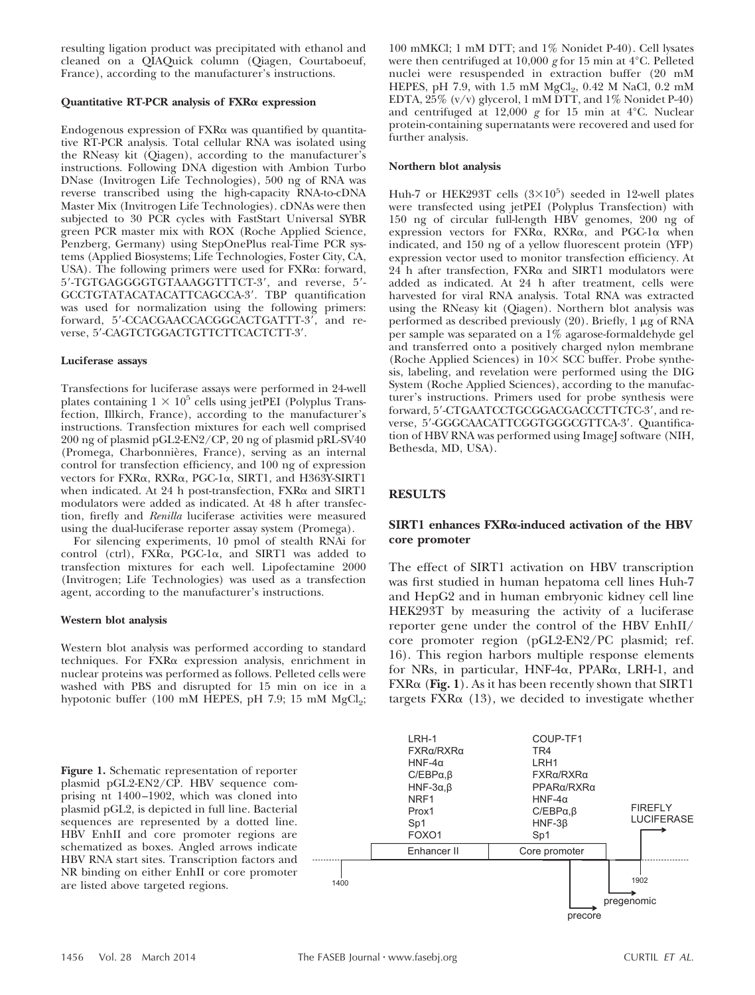resulting ligation product was precipitated with ethanol and cleaned on a QIAQuick column (Qiagen, Courtaboeuf, France), according to the manufacturer's instructions.

#### **Quantitative RT-PCR analysis of FXR expression**

Endogenous expression of FXRa was quantified by quantitative RT-PCR analysis. Total cellular RNA was isolated using the RNeasy kit (Qiagen), according to the manufacturer's instructions. Following DNA digestion with Ambion Turbo DNase (Invitrogen Life Technologies), 500 ng of RNA was reverse transcribed using the high-capacity RNA-to-cDNA Master Mix (Invitrogen Life Technologies). cDNAs were then subjected to 30 PCR cycles with FastStart Universal SYBR green PCR master mix with ROX (Roche Applied Science, Penzberg, Germany) using StepOnePlus real-Time PCR systems (Applied Biosystems; Life Technologies, Foster City, CA, USA). The following primers were used for FXRa: forward, 5'-TGTGAGGGGTGTAAAGGTTTCT-3', and reverse, 5'-GCCTGTATACATACATTCAGCCA-3'. TBP quantification was used for normalization using the following primers: forward, 5'-CCACGAACCACGGCACTGATTT-3', and reverse, 5'-CAGTCTGGACTGTTCTTCACTCTT-3'.

## **Luciferase assays**

Transfections for luciferase assays were performed in 24-well plates containing  $1 \times 10^5$  cells using jetPEI (Polyplus Transfection, Illkirch, France), according to the manufacturer's instructions. Transfection mixtures for each well comprised 200 ng of plasmid pGL2-EN2/CP, 20 ng of plasmid pRL-SV40 (Promega, Charbonnières, France), serving as an internal control for transfection efficiency, and 100 ng of expression vectors for FXRa, RXRa, PGC-1a, SIRT1, and H363Y-SIRT1 when indicated. At 24 h post-transfection, FXRa and SIRT1 modulators were added as indicated. At 48 h after transfection, firefly and *Renilla* luciferase activities were measured using the dual-luciferase reporter assay system (Promega).

For silencing experiments, 10 pmol of stealth RNAi for control (ctrl), FXRa, PGC-1a, and SIRT1 was added to transfection mixtures for each well. Lipofectamine 2000 (Invitrogen; Life Technologies) was used as a transfection agent, according to the manufacturer's instructions.

## **Western blot analysis**

Western blot analysis was performed according to standard techniques. For FXR& expression analysis, enrichment in nuclear proteins was performed as follows. Pelleted cells were washed with PBS and disrupted for 15 min on ice in a hypotonic buffer (100 mM HEPES, pH  $7.9$ ; 15 mM MgCl<sub>2</sub>;

**Figure 1.** Schematic representation of reporter plasmid pGL2-EN2/CP. HBV sequence comprising nt 1400–1902, which was cloned into plasmid pGL2, is depicted in full line. Bacterial sequences are represented by a dotted line. HBV EnhII and core promoter regions are schematized as boxes. Angled arrows indicate HBV RNA start sites. Transcription factors and NR binding on either EnhII or core promoter are listed above targeted regions.

100 mMKCl; 1 mM DTT; and 1% Nonidet P-40). Cell lysates were then centrifuged at 10,000 *g* for 15 min at 4°C. Pelleted nuclei were resuspended in extraction buffer (20 mM HEPES, pH 7.9, with 1.5 mM  $MgCl<sub>2</sub>$ , 0.42 M NaCl, 0.2 mM EDTA, 25% (v/v) glycerol, 1 mM DTT, and 1% Nonidet P-40) and centrifuged at 12,000 *g* for 15 min at 4°C. Nuclear protein-containing supernatants were recovered and used for further analysis.

#### **Northern blot analysis**

Huh-7 or HEK293T cells  $(3\times10^5)$  seeded in 12-well plates were transfected using jetPEI (Polyplus Transfection) with 150 ng of circular full-length HBV genomes, 200 ng of expression vectors for FXRa, RXRa, and PGC-1a when indicated, and 150 ng of a yellow fluorescent protein (YFP) expression vector used to monitor transfection efficiency. At  $24$  h after transfection,  $FXR\alpha$  and SIRT1 modulators were added as indicated. At 24 h after treatment, cells were harvested for viral RNA analysis. Total RNA was extracted using the RNeasy kit (Qiagen). Northern blot analysis was performed as described previously  $(20)$ . Briefly, 1  $\mu$ g of RNA per sample was separated on a 1% agarose-formaldehyde gel and transferred onto a positively charged nylon membrane (Roche Applied Sciences) in  $10 \times$  SCC buffer. Probe synthesis, labeling, and revelation were performed using the DIG System (Roche Applied Sciences), according to the manufacturer's instructions. Primers used for probe synthesis were forward, 5'-CTGAATCCTGCGGACGACCCTTCTC-3', and reverse, 5'-GGGCAACATTCGGTGGGCGTTCA-3'. Quantification of HBV RNA was performed using ImageJ software (NIH, Bethesda, MD, USA).

# **RESULTS**

## **SIRT1 enhances FXR-induced activation of the HBV core promoter**

The effect of SIRT1 activation on HBV transcription was first studied in human hepatoma cell lines Huh-7 and HepG2 and in human embryonic kidney cell line HEK293T by measuring the activity of a luciferase reporter gene under the control of the HBV EnhII/ core promoter region (pGL2-EN2/PC plasmid; ref. 16). This region harbors multiple response elements for NRs, in particular, HNF-4α, PPARα, LRH-1, and  $FXR\alpha$  (Fig. 1). As it has been recently shown that SIRT1 targets  $FXR\alpha$  (13), we decided to investigate whether

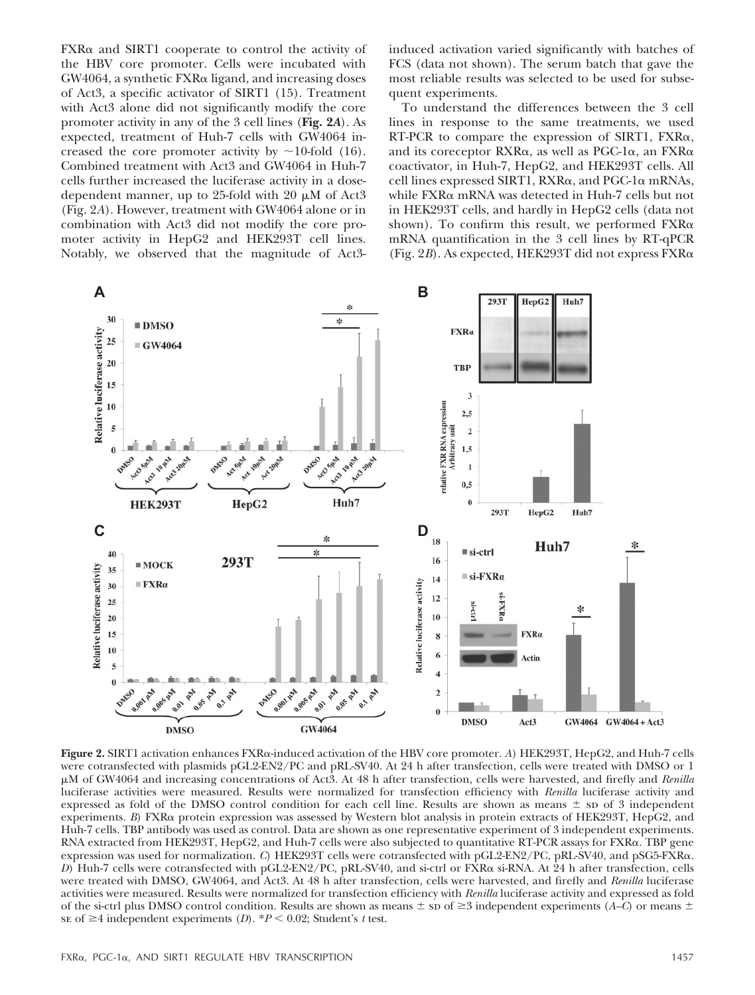FXRa and SIRT1 cooperate to control the activity of the HBV core promoter. Cells were incubated with  $GW4064$ , a synthetic  $FXR\alpha$  ligand, and increasing doses of Act3, a specific activator of SIRT1 (15). Treatment with Act3 alone did not significantly modify the core promoter activity in any of the 3 cell lines (**Fig. 2***A*). As expected, treatment of Huh-7 cells with GW4064 increased the core promoter activity by  $\sim$ 10-fold (16). Combined treatment with Act3 and GW4064 in Huh-7 cells further increased the luciferase activity in a dosedependent manner, up to 25-fold with 20  $\mu$ M of Act3 (Fig. 2*A*). However, treatment with GW4064 alone or in combination with Act3 did not modify the core promoter activity in HepG2 and HEK293T cell lines. Notably, we observed that the magnitude of Act3induced activation varied significantly with batches of FCS (data not shown). The serum batch that gave the most reliable results was selected to be used for subsequent experiments.

To understand the differences between the 3 cell lines in response to the same treatments, we used RT-PCR to compare the expression of SIRT1,  $FXR\alpha$ , and its coreceptor  $RXR\alpha$ , as well as PGC-1 $\alpha$ , an  $FXR\alpha$ coactivator, in Huh-7, HepG2, and HEK293T cells. All cell lines expressed SIRT1, RXRa, and PGC-1a mRNAs, while  $\text{FXR}\alpha$  mRNA was detected in Huh-7 cells but not in HEK293T cells, and hardly in HepG2 cells (data not shown). To confirm this result, we performed  $FXR\alpha$ mRNA quantification in the 3 cell lines by RT-qPCR (Fig. 2*B*). As expected, HEK293T did not express FXR-



 ${\bf Figure~2.\,SIRT1}$  activation enhances FXRα-induced activation of the HBV core promoter. *A*) HEK293T, HepG2, and Huh-7 cells were cotransfected with plasmids pGL2-EN2/PC and pRL-SV40. At 24 h after transfection, cells were treated with DMSO or 1 M of GW4064 and increasing concentrations of Act3. At 48 h after transfection, cells were harvested, and firefly and *Renilla* luciferase activities were measured. Results were normalized for transfection efficiency with *Renilla* luciferase activity and expressed as fold of the DMSO control condition for each cell line. Results are shown as means  $\pm$  sp of 3 independent experiments. *B*) FXRa protein expression was assessed by Western blot analysis in protein extracts of HEK293T, HepG2, and Huh-7 cells. TBP antibody was used as control. Data are shown as one representative experiment of 3 independent experiments.  $\rm RNA~extracted~ from~HEK293T,~HepG2,$  and  $\rm Huh\text{-}7$  cells were also subjected to quantitative  $\rm RT\text{-}PCR$  assays for  $\rm FXR\alpha.$   $\rm TBP$  gene expression was used for normalization. C) HEK293T cells were cotransfected with pGL2-EN2/PC, pRL-SV40, and pSG5-FXRa. D) Huh-7 cells were cotransfected with pGL2-EN2/PC, pRL-SV40, and si-ctrl or FXRα si-RNA. At 24 h after transfection, cells were treated with DMSO, GW4064, and Act3. At 48 h after transfection, cells were harvested, and firefly and *Renilla* luciferase activities were measured. Results were normalized for transfection efficiency with *Renilla* luciferase activity and expressed as fold of the si-ctrl plus DMSO control condition. Results are shown as means  $\pm$  sp of  $\geq$  3 independent experiments (*A–C*) or means  $\pm$ se of  $\geq$ 4 independent experiments (*D*).  $*P$  < 0.02; Student's *t* test.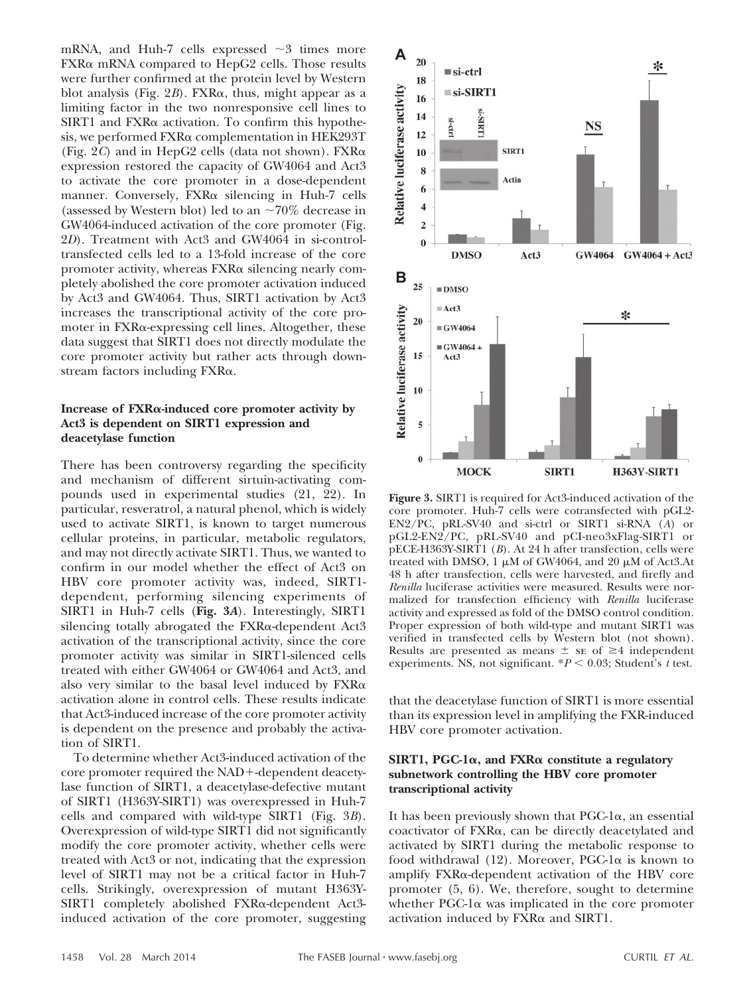mRNA, and Huh-7 cells expressed  $\sim$ 3 times more FXRa mRNA compared to HepG2 cells. Those results were further confirmed at the protein level by Western blot analysis (Fig.  $2B$ ). FXR $\alpha$ , thus, might appear as a limiting factor in the two nonresponsive cell lines to SIRT1 and FXR& activation. To confirm this hypothesis, we performed FXR $\alpha$  complementation in HEK293T (Fig. 2*C*) and in HepG2 cells (data not shown). FXR expression restored the capacity of GW4064 and Act3 to activate the core promoter in a dose-dependent manner. Conversely, FXRa silencing in Huh-7 cells (assessed by Western blot) led to an  $\sim 70\%$  decrease in GW4064-induced activation of the core promoter (Fig. 2*D*). Treatment with Act3 and GW4064 in si-controltransfected cells led to a 13-fold increase of the core promoter activity, whereas FXRa silencing nearly completely abolished the core promoter activation induced by Act3 and GW4064. Thus, SIRT1 activation by Act3 increases the transcriptional activity of the core promoter in FXRa-expressing cell lines. Altogether, these data suggest that SIRT1 does not directly modulate the core promoter activity but rather acts through downstream factors including  $FXR\alpha$ .

## **Increase of FXR-induced core promoter activity by Act3 is dependent on SIRT1 expression and deacetylase function**

There has been controversy regarding the specificity and mechanism of different sirtuin-activating compounds used in experimental studies (21, 22). In particular, resveratrol, a natural phenol, which is widely used to activate SIRT1, is known to target numerous cellular proteins, in particular, metabolic regulators, and may not directly activate SIRT1. Thus, we wanted to confirm in our model whether the effect of Act3 on HBV core promoter activity was, indeed, SIRT1 dependent, performing silencing experiments of SIRT1 in Huh-7 cells (**Fig. 3***A*). Interestingly, SIRT1 silencing totally abrogated the FXRa-dependent Act3 activation of the transcriptional activity, since the core promoter activity was similar in SIRT1-silenced cells treated with either GW4064 or GW4064 and Act3, and also very similar to the basal level induced by  $FXR\alpha$ activation alone in control cells. These results indicate that Act3-induced increase of the core promoter activity is dependent on the presence and probably the activation of SIRT1.

To determine whether Act3-induced activation of the core promoter required the NAD+-dependent deacetylase function of SIRT1, a deacetylase-defective mutant of SIRT1 (H363Y-SIRT1) was overexpressed in Huh-7 cells and compared with wild-type SIRT1 (Fig. 3*B*). Overexpression of wild-type SIRT1 did not significantly modify the core promoter activity, whether cells were treated with Act3 or not, indicating that the expression level of SIRT1 may not be a critical factor in Huh-7 cells. Strikingly, overexpression of mutant H363Y-SIRT1 completely abolished FXRa-dependent Act3induced activation of the core promoter, suggesting



**Figure 3.** SIRT1 is required for Act3-induced activation of the core promoter. Huh-7 cells were cotransfected with pGL2- EN2/PC, pRL-SV40 and si-ctrl or SIRT1 si-RNA (*A*) or pGL2-EN2/PC, pRL-SV40 and pCI-neo3xFlag-SIRT1 or pECE-H363Y-SIRT1 (*B*). At 24 h after transfection, cells were treated with DMSO,  $1 \mu M$  of GW4064, and  $20 \mu M$  of Act3.At 48 h after transfection, cells were harvested, and firefly and *Renilla* luciferase activities were measured. Results were normalized for transfection efficiency with *Renilla* luciferase activity and expressed as fold of the DMSO control condition. Proper expression of both wild-type and mutant SIRT1 was verified in transfected cells by Western blot (not shown). Results are presented as means  $\pm$  se of  $\geq$ 4 independent experiments. NS, not significant.  $*P < 0.03$ ; Student's *t* test.

that the deacetylase function of SIRT1 is more essential than its expression level in amplifying the FXR-induced HBV core promoter activation.

## **SIRT1, PGC-1, and FXR constitute a regulatory subnetwork controlling the HBV core promoter transcriptional activity**

It has been previously shown that  $PGC-1\alpha$ , an essential coactivator of FXRa, can be directly deacetylated and activated by SIRT1 during the metabolic response to food withdrawal  $(12)$ . Moreover, PGC-1 $\alpha$  is known to amplify FXR&-dependent activation of the HBV core promoter (5, 6). We, therefore, sought to determine whether PGC-1 $\alpha$  was implicated in the core promoter activation induced by FXRa and SIRT1.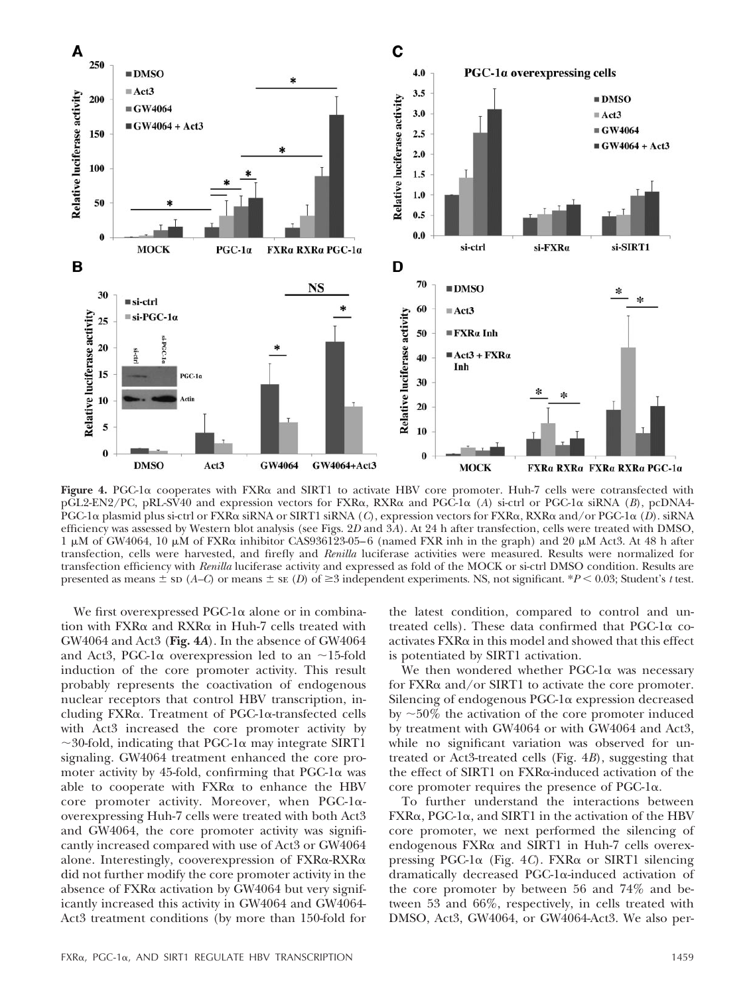

Figure 4. PGC-1 $\alpha$  cooperates with FXR $\alpha$  and SIRT1 to activate HBV core promoter. Huh-7 cells were cotransfected with pGL2-EN2/PC, pRL-SV40 and expression vectors for FXRα, RXRα and PGC-1α (*A*) si-ctrl or PGC-1α siRNA (*B*), pcDNA4-PGC-1 $\alpha$  plasmid plus si-ctrl or FXR $\alpha$  siRNA or SIRT1 siRNA (*C*), expression vectors for FXR $\alpha$ , RXR $\alpha$  and/or PGC-1 $\alpha$  (*D*). siRNA efficiency was assessed by Western blot analysis (see Figs. 2*D* and 3*A*). At 24 h after transfection, cells were treated with DMSO,  $1 \mu$ M of GW4064,  $10 \mu$ M of FXR $\alpha$  inhibitor CAS936123-05–6 (named FXR inh in the graph) and 20  $\mu$ M Act3. At 48 h after transfection, cells were harvested, and firefly and *Renilla* luciferase activities were measured. Results were normalized for transfection efficiency with *Renilla* luciferase activity and expressed as fold of the MOCK or si-ctrl DMSO condition. Results are presented as means  $\pm$  sp (*A–C*) or means  $\pm$  se (*D*) of  $\geq$ 3 independent experiments. NS, not significant. \**P* < 0.03; Student's *t* test.

We first overexpressed PGC-1 $\alpha$  alone or in combination with FXRa and RXRa in Huh-7 cells treated with GW4064 and Act3 (**Fig. 4***A*). In the absence of GW4064 and Act3, PGC-1 $\alpha$  overexpression led to an  $\sim$ 15-fold induction of the core promoter activity. This result probably represents the coactivation of endogenous nuclear receptors that control HBV transcription, including FXRa. Treatment of PGC-1a-transfected cells with Act3 increased the core promoter activity by  $\sim$ 30-fold, indicating that PGC-1 $\alpha$  may integrate SIRT1 signaling. GW4064 treatment enhanced the core promoter activity by 45-fold, confirming that  $PGC-1\alpha$  was able to cooperate with FXRa to enhance the HBV core promoter activity. Moreover, when PGC-1 $\alpha$ overexpressing Huh-7 cells were treated with both Act3 and GW4064, the core promoter activity was significantly increased compared with use of Act3 or GW4064 alone. Interestingly, cooverexpression of FXR&-RXR& did not further modify the core promoter activity in the absence of FXRa activation by GW4064 but very significantly increased this activity in GW4064 and GW4064- Act3 treatment conditions (by more than 150-fold for

the latest condition, compared to control and untreated cells). These data confirmed that  $PGC-1\alpha$  co- $\arct{a}$  activates  $\text{F} \text{X} \text{R} \alpha$  in this model and showed that this effect is potentiated by SIRT1 activation.

We then wondered whether  $PGC-1\alpha$  was necessary for FXR& and/or SIRT1 to activate the core promoter. Silencing of endogenous PGC-1a expression decreased by  $\sim$  50% the activation of the core promoter induced by treatment with GW4064 or with GW4064 and Act3, while no significant variation was observed for untreated or Act3-treated cells (Fig. 4*B*), suggesting that the effect of SIRT1 on FXRa-induced activation of the core promoter requires the presence of PGC- $1\alpha$ .

To further understand the interactions between  $FXR\alpha$ , PGC-1 $\alpha$ , and SIRT1 in the activation of the HBV core promoter, we next performed the silencing of endogenous FXRa and SIRT1 in Huh-7 cells overexpressing PGC-1 $\alpha$  (Fig. 4*C*). FXR $\alpha$  or SIRT1 silencing dramatically decreased PGC-1 $\alpha$ -induced activation of the core promoter by between 56 and 74% and between 53 and 66%, respectively, in cells treated with DMSO, Act3, GW4064, or GW4064-Act3. We also per-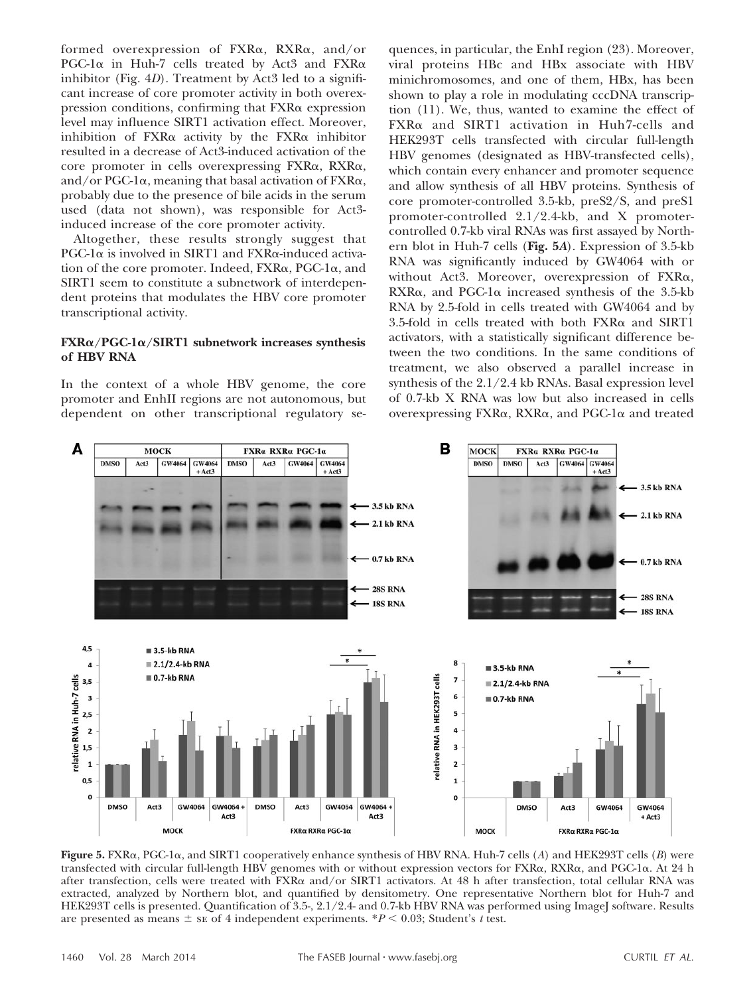formed overexpression of FXRa, RXRa, and/or PGC-1 $\alpha$  in Huh-7 cells treated by Act3 and FXR $\alpha$ inhibitor (Fig. 4*D*). Treatment by Act3 led to a significant increase of core promoter activity in both overexpression conditions, confirming that FXRa expression level may influence SIRT1 activation effect. Moreover, inhibition of  $FXR\alpha$  activity by the  $FXR\alpha$  inhibitor resulted in a decrease of Act3-induced activation of the core promoter in cells overexpressing FXRa, RXRa, and/or PGC-1 $\alpha$ , meaning that basal activation of FXR $\alpha$ , probably due to the presence of bile acids in the serum used (data not shown), was responsible for Act3 induced increase of the core promoter activity.

Altogether, these results strongly suggest that  $PGC-1\alpha$  is involved in SIRT1 and  $FXR\alpha$ -induced activation of the core promoter. Indeed, FXRa, PGC-1a, and SIRT1 seem to constitute a subnetwork of interdependent proteins that modulates the HBV core promoter transcriptional activity.

## **FXR/PGC-1/SIRT1 subnetwork increases synthesis of HBV RNA**

In the context of a whole HBV genome, the core promoter and EnhII regions are not autonomous, but dependent on other transcriptional regulatory sequences, in particular, the EnhI region (23). Moreover, viral proteins HBc and HBx associate with HBV minichromosomes, and one of them, HBx, has been shown to play a role in modulating cccDNA transcription (11). We, thus, wanted to examine the effect of FXR $\alpha$  and SIRT1 activation in Huh7-cells and HEK293T cells transfected with circular full-length HBV genomes (designated as HBV-transfected cells), which contain every enhancer and promoter sequence and allow synthesis of all HBV proteins. Synthesis of core promoter-controlled 3.5-kb, preS2/S, and preS1 promoter-controlled 2.1/2.4-kb, and X promotercontrolled 0.7-kb viral RNAs was first assayed by Northern blot in Huh-7 cells (**Fig. 5***A*). Expression of 3.5-kb RNA was significantly induced by GW4064 with or without Act3. Moreover, overexpression of FXRa,  $RXR\alpha$ , and PGC-1 $\alpha$  increased synthesis of the 3.5-kb RNA by 2.5-fold in cells treated with GW4064 and by  $3.5$ -fold in cells treated with both FXR $\alpha$  and SIRT1 activators, with a statistically significant difference between the two conditions. In the same conditions of treatment, we also observed a parallel increase in synthesis of the 2.1/2.4 kb RNAs. Basal expression level of 0.7-kb X RNA was low but also increased in cells overexpressing FXRa, RXRa, and PGC-1a and treated



Figure 5. FXRa, PGC-1a, and SIRT1 cooperatively enhance synthesis of HBV RNA. Huh-7 cells (*A*) and HEK293T cells (*B*) were transfected with circular full-length HBV genomes with or without expression vectors for  $\rm{FXR}_\alpha$ ,  $\rm{RXR}_\alpha$ , and  $\rm{PGC-1}\alpha$ . At 24 h after transfection, cells were treated with  $\rm FXR\alpha$  and/or SIRT1 activators. At 48 h after transfection, total cellular RNA was extracted, analyzed by Northern blot, and quantified by densitometry. One representative Northern blot for Huh-7 and HEK293T cells is presented. Quantification of 3.5-, 2.1/2.4- and 0.7-kb HBV RNA was performed using ImageJ software. Results are presented as means  $\pm$  se of 4 independent experiments.  $*P < 0.03$ ; Student's *t* test.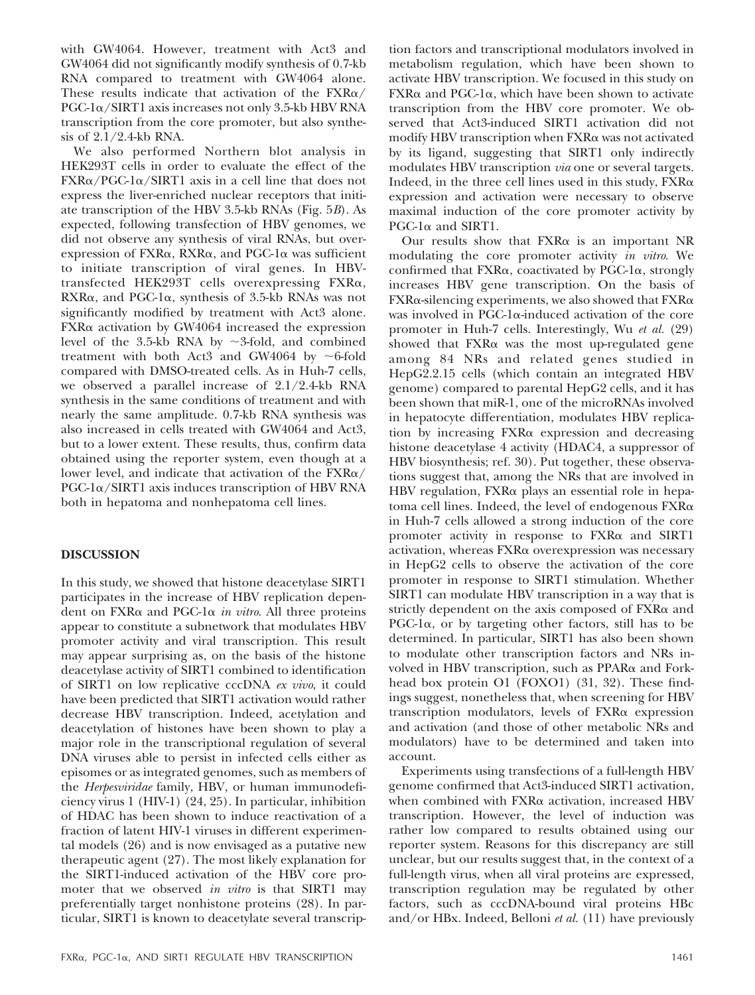with GW4064. However, treatment with Act3 and GW4064 did not significantly modify synthesis of 0.7-kb RNA compared to treatment with GW4064 alone. These results indicate that activation of the  $FXR\alpha/$ PGC-1 $\alpha$ /SIRT1 axis increases not only 3.5-kb HBV RNA transcription from the core promoter, but also synthesis of 2.1/2.4-kb RNA.

We also performed Northern blot analysis in HEK293T cells in order to evaluate the effect of the FXRa/PGC-1a/SIRT1 axis in a cell line that does not express the liver-enriched nuclear receptors that initiate transcription of the HBV 3.5-kb RNAs (Fig. 5*B*). As expected, following transfection of HBV genomes, we did not observe any synthesis of viral RNAs, but overexpression of FXRa, RXRa, and PGC-1a was sufficient to initiate transcription of viral genes. In HBVtransfected HEK293T cells overexpressing FXRa,  $RXR\alpha$ , and PGC-1 $\alpha$ , synthesis of 3.5-kb RNAs was not significantly modified by treatment with Act3 alone. FXRa activation by GW4064 increased the expression level of the 3.5-kb RNA by  $\sim$ 3-fold, and combined treatment with both Act3 and GW4064 by  $\sim$ 6-fold compared with DMSO-treated cells. As in Huh-7 cells, we observed a parallel increase of 2.1/2.4-kb RNA synthesis in the same conditions of treatment and with nearly the same amplitude. 0.7-kb RNA synthesis was also increased in cells treated with GW4064 and Act3, but to a lower extent. These results, thus, confirm data obtained using the reporter system, even though at a lower level, and indicate that activation of the  $\text{FXR}_\alpha/$ PGC-1 $\alpha$ /SIRT1 axis induces transcription of HBV RNA both in hepatoma and nonhepatoma cell lines.

# **DISCUSSION**

In this study, we showed that histone deacetylase SIRT1 participates in the increase of HBV replication dependent on FXRa and PGC-1a in vitro. All three proteins appear to constitute a subnetwork that modulates HBV promoter activity and viral transcription. This result may appear surprising as, on the basis of the histone deacetylase activity of SIRT1 combined to identification of SIRT1 on low replicative cccDNA *ex vivo*, it could have been predicted that SIRT1 activation would rather decrease HBV transcription. Indeed, acetylation and deacetylation of histones have been shown to play a major role in the transcriptional regulation of several DNA viruses able to persist in infected cells either as episomes or as integrated genomes, such as members of the *Herpesviridae* family, HBV, or human immunodeficiency virus 1 (HIV-1) (24, 25). In particular, inhibition of HDAC has been shown to induce reactivation of a fraction of latent HIV-1 viruses in different experimental models (26) and is now envisaged as a putative new therapeutic agent (27). The most likely explanation for the SIRT1-induced activation of the HBV core promoter that we observed *in vitro* is that SIRT1 may preferentially target nonhistone proteins (28). In particular, SIRT1 is known to deacetylate several transcrip-

tion factors and transcriptional modulators involved in metabolism regulation, which have been shown to activate HBV transcription. We focused in this study on FXRa and PGC-1a, which have been shown to activate transcription from the HBV core promoter. We observed that Act3-induced SIRT1 activation did not modify HBV transcription when FXRa was not activated by its ligand, suggesting that SIRT1 only indirectly modulates HBV transcription *via* one or several targets. Indeed, in the three cell lines used in this study,  $\text{FXR}\alpha$ expression and activation were necessary to observe maximal induction of the core promoter activity by  $PGC-1\alpha$  and SIRT1.

Our results show that  $FXR\alpha$  is an important NR modulating the core promoter activity *in vitro*. We confirmed that FXRa, coactivated by PGC-1a, strongly increases HBV gene transcription. On the basis of  $\text{FXR}\alpha\text{-silencing experiments, we also showed that } \text{FXR}\alpha$ was involved in PGC-1 $\alpha$ -induced activation of the core promoter in Huh-7 cells. Interestingly, Wu *et al.* (29) showed that FXR $\alpha$  was the most up-regulated gene among 84 NRs and related genes studied in HepG2.2.15 cells (which contain an integrated HBV genome) compared to parental HepG2 cells, and it has been shown that miR-1, one of the microRNAs involved in hepatocyte differentiation, modulates HBV replication by increasing  $FXR\alpha$  expression and decreasing histone deacetylase 4 activity (HDAC4, a suppressor of HBV biosynthesis; ref. 30). Put together, these observations suggest that, among the NRs that are involved in HBV regulation, FXRa plays an essential role in hepatoma cell lines. Indeed, the level of endogenous FXRa in Huh-7 cells allowed a strong induction of the core promoter activity in response to FXRa and SIRT1 activation, whereas FXRa overexpression was necessary in HepG2 cells to observe the activation of the core promoter in response to SIRT1 stimulation. Whether SIRT1 can modulate HBV transcription in a way that is strictly dependent on the axis composed of FXRa and PGC-1 $\alpha$ , or by targeting other factors, still has to be determined. In particular, SIRT1 has also been shown to modulate other transcription factors and NRs involved in HBV transcription, such as PPAR& and Forkhead box protein O1 (FOXO1) (31, 32). These findings suggest, nonetheless that, when screening for HBV transcription modulators, levels of FXRa expression and activation (and those of other metabolic NRs and modulators) have to be determined and taken into account.

Experiments using transfections of a full-length HBV genome confirmed that Act3-induced SIRT1 activation, when combined with FXR& activation, increased HBV transcription. However, the level of induction was rather low compared to results obtained using our reporter system. Reasons for this discrepancy are still unclear, but our results suggest that, in the context of a full-length virus, when all viral proteins are expressed, transcription regulation may be regulated by other factors, such as cccDNA-bound viral proteins HBc and/or HBx. Indeed, Belloni *et al.* (11) have previously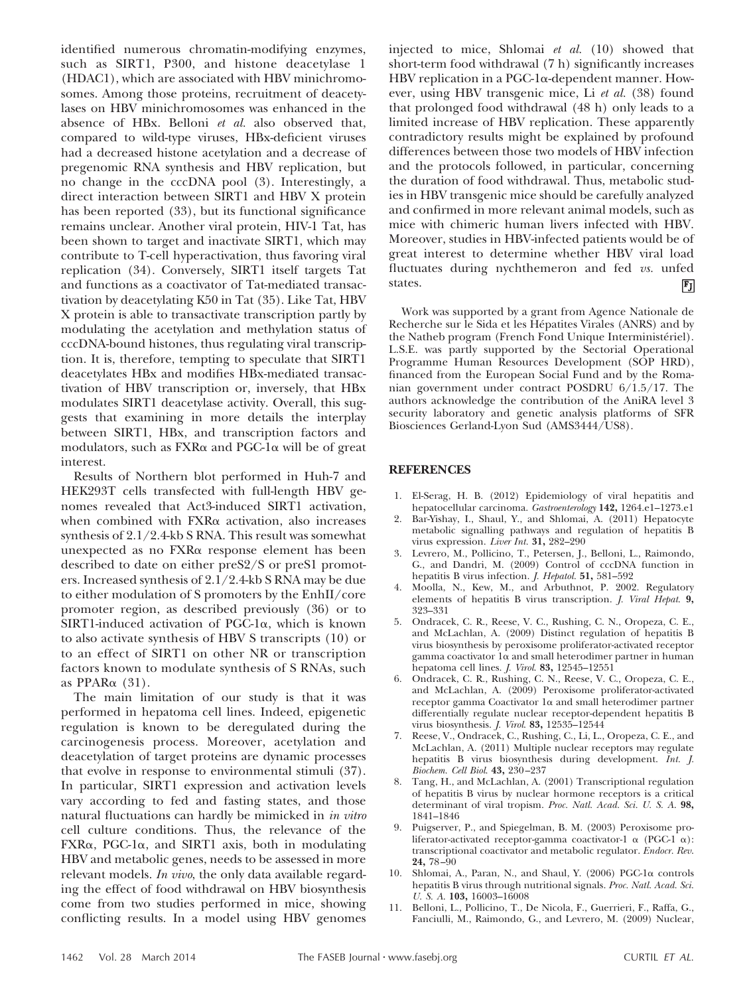identified numerous chromatin-modifying enzymes, such as SIRT1, P300, and histone deacetylase 1 (HDAC1), which are associated with HBV minichromosomes. Among those proteins, recruitment of deacetylases on HBV minichromosomes was enhanced in the absence of HBx. Belloni *et al.* also observed that, compared to wild-type viruses, HBx-deficient viruses had a decreased histone acetylation and a decrease of pregenomic RNA synthesis and HBV replication, but no change in the cccDNA pool (3). Interestingly, a direct interaction between SIRT1 and HBV X protein has been reported (33), but its functional significance remains unclear. Another viral protein, HIV-1 Tat, has been shown to target and inactivate SIRT1, which may contribute to T-cell hyperactivation, thus favoring viral replication (34). Conversely, SIRT1 itself targets Tat and functions as a coactivator of Tat-mediated transactivation by deacetylating K50 in Tat (35). Like Tat, HBV X protein is able to transactivate transcription partly by modulating the acetylation and methylation status of cccDNA-bound histones, thus regulating viral transcription. It is, therefore, tempting to speculate that SIRT1 deacetylates HBx and modifies HBx-mediated transactivation of HBV transcription or, inversely, that HBx modulates SIRT1 deacetylase activity. Overall, this suggests that examining in more details the interplay between SIRT1, HBx, and transcription factors and modulators, such as FXR $\alpha$  and PGC-1 $\alpha$  will be of great interest.

Results of Northern blot performed in Huh-7 and HEK293T cells transfected with full-length HBV genomes revealed that Act3-induced SIRT1 activation, when combined with  $FXR\alpha$  activation, also increases synthesis of 2.1/2.4-kb S RNA. This result was somewhat unexpected as no FXRa response element has been described to date on either preS2/S or preS1 promoters. Increased synthesis of 2.1/2.4-kb S RNA may be due to either modulation of S promoters by the EnhII/core promoter region, as described previously (36) or to SIRT1-induced activation of PGC-1 $\alpha$ , which is known to also activate synthesis of HBV S transcripts (10) or to an effect of SIRT1 on other NR or transcription factors known to modulate synthesis of S RNAs, such as  $PPAR\alpha$  (31).

The main limitation of our study is that it was performed in hepatoma cell lines. Indeed, epigenetic regulation is known to be deregulated during the carcinogenesis process. Moreover, acetylation and deacetylation of target proteins are dynamic processes that evolve in response to environmental stimuli (37). In particular, SIRT1 expression and activation levels vary according to fed and fasting states, and those natural fluctuations can hardly be mimicked in *in vitro* cell culture conditions. Thus, the relevance of the FXRα, PGC-1α, and SIRT1 axis, both in modulating HBV and metabolic genes, needs to be assessed in more relevant models. *In vivo*, the only data available regarding the effect of food withdrawal on HBV biosynthesis come from two studies performed in mice, showing conflicting results. In a model using HBV genomes

injected to mice, Shlomai *et al.* (10) showed that short-term food withdrawal (7 h) significantly increases  ${\rm HBV}$  replication in a PGC-1 $\alpha$ -dependent manner. However, using HBV transgenic mice, Li *et al.* (38) found that prolonged food withdrawal (48 h) only leads to a limited increase of HBV replication. These apparently contradictory results might be explained by profound differences between those two models of HBV infection and the protocols followed, in particular, concerning the duration of food withdrawal. Thus, metabolic studies in HBV transgenic mice should be carefully analyzed and confirmed in more relevant animal models, such as mice with chimeric human livers infected with HBV. Moreover, studies in HBV-infected patients would be of great interest to determine whether HBV viral load fluctuates during nychthemeron and fed *vs.* unfed states. 冏

Work was supported by a grant from Agence Nationale de Recherche sur le Sida et les Hépatites Virales (ANRS) and by the Natheb program (French Fond Unique Interministériel). L.S.E. was partly supported by the Sectorial Operational Programme Human Resources Development (SOP HRD), financed from the European Social Fund and by the Romanian government under contract POSDRU 6/1.5/17. The authors acknowledge the contribution of the AniRA level 3 security laboratory and genetic analysis platforms of SFR Biosciences Gerland-Lyon Sud (AMS3444/US8).

## **REFERENCES**

- 1. El-Serag, H. B. (2012) Epidemiology of viral hepatitis and hepatocellular carcinoma. *Gastroenterology* **142,** 1264.e1–1273.e1
- 2. Bar-Yishay, I., Shaul, Y., and Shlomai, A. (2011) Hepatocyte metabolic signalling pathways and regulation of hepatitis B virus expression. *Liver Int.* **31,** 282–290
- 3. Levrero, M., Pollicino, T., Petersen, J., Belloni, L., Raimondo, G., and Dandri, M. (2009) Control of cccDNA function in hepatitis B virus infection. *J. Hepatol.* **51,** 581–592
- 4. Moolla, N., Kew, M., and Arbuthnot, P. 2002. Regulatory elements of hepatitis B virus transcription. *J. Viral Hepat*. **9,** 323–331
- 5. Ondracek, C. R., Reese, V. C., Rushing, C. N., Oropeza, C. E., and McLachlan, A. (2009) Distinct regulation of hepatitis B virus biosynthesis by peroxisome proliferator-activated receptor gamma coactivator  $1\alpha$  and small heterodimer partner in human hepatoma cell lines. *J. Virol*. **83,** 12545–12551
- 6. Ondracek, C. R., Rushing, C. N., Reese, V. C., Oropeza, C. E., and McLachlan, A. (2009) Peroxisome proliferator-activated receptor gamma Coactivator 1 $\alpha$  and small heterodimer partner differentially regulate nuclear receptor-dependent hepatitis B virus biosynthesis. *J. Virol*. **83,** 12535–12544
- 7. Reese, V., Ondracek, C., Rushing, C., Li, L., Oropeza, C. E., and McLachlan, A. (2011) Multiple nuclear receptors may regulate hepatitis B virus biosynthesis during development. *Int. J. Biochem. Cell Biol*. **43,** 230–237
- 8. Tang, H., and McLachlan, A. (2001) Transcriptional regulation of hepatitis B virus by nuclear hormone receptors is a critical determinant of viral tropism. *Proc. Natl. Acad. Sci. U. S. A*. **98,** 1841–1846
- 9. Puigserver, P., and Spiegelman, B. M. (2003) Peroxisome proliferator-activated receptor-gamma coactivator-1  $\alpha$  (PGC-1  $\alpha$ ): transcriptional coactivator and metabolic regulator. *Endocr. Rev*. **24,** 78–90
- 10. Shlomai, A., Paran, N., and Shaul, Y. (2006) PGC-1α controls hepatitis B virus through nutritional signals. *Proc. Natl. Acad. Sci. U. S. A*. **103,** 16003–16008
- 11. Belloni, L., Pollicino, T., De Nicola, F., Guerrieri, F., Raffa, G., Fanciulli, M., Raimondo, G., and Levrero, M. (2009) Nuclear,